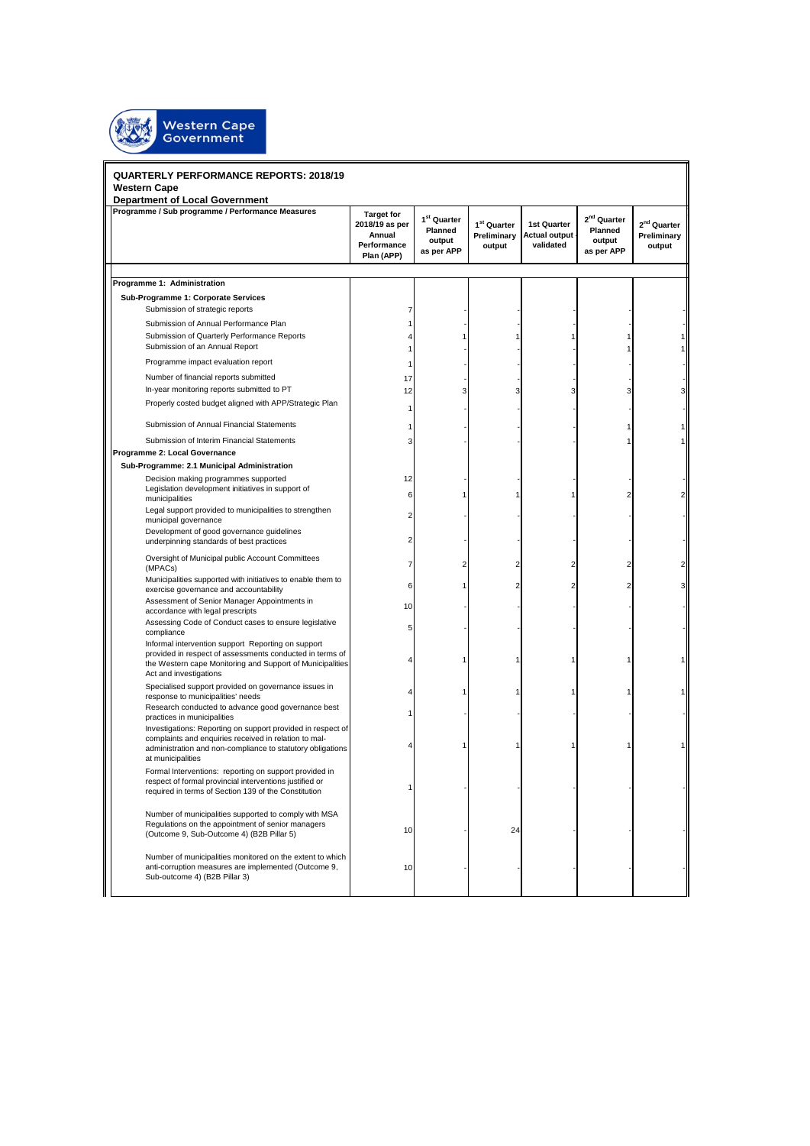

## **QUARTERLY PERFORMANCE REPORTS: 2018/19 Western Cape**

| <b>QUARTERLY PERFORMANCE REPORTS: 2018/19</b>                                                                                                                                                           |                                                                            |                                                            |                                                  |                                                    |                                                            |                                                  |
|---------------------------------------------------------------------------------------------------------------------------------------------------------------------------------------------------------|----------------------------------------------------------------------------|------------------------------------------------------------|--------------------------------------------------|----------------------------------------------------|------------------------------------------------------------|--------------------------------------------------|
| <b>Western Cape</b>                                                                                                                                                                                     |                                                                            |                                                            |                                                  |                                                    |                                                            |                                                  |
| <b>Department of Local Government</b><br>Programme / Sub programme / Performance Measures                                                                                                               | <b>Target for</b><br>2018/19 as per<br>Annual<br>Performance<br>Plan (APP) | 1 <sup>st</sup> Quarter<br>Planned<br>output<br>as per APP | 1 <sup>st</sup> Quarter<br>Preliminary<br>output | <b>1st Quarter</b><br>Actual output -<br>validated | 2 <sup>nd</sup> Quarter<br>Planned<br>output<br>as per APP | 2 <sup>nd</sup> Quarter<br>Preliminary<br>output |
|                                                                                                                                                                                                         |                                                                            |                                                            |                                                  |                                                    |                                                            |                                                  |
| Programme 1: Administration                                                                                                                                                                             |                                                                            |                                                            |                                                  |                                                    |                                                            |                                                  |
| Sub-Programme 1: Corporate Services                                                                                                                                                                     |                                                                            |                                                            |                                                  |                                                    |                                                            |                                                  |
| Submission of strategic reports                                                                                                                                                                         | $\overline{7}$                                                             |                                                            |                                                  |                                                    |                                                            |                                                  |
| Submission of Annual Performance Plan<br>Submission of Quarterly Performance Reports                                                                                                                    | 1<br>4                                                                     |                                                            |                                                  |                                                    |                                                            |                                                  |
| Submission of an Annual Report                                                                                                                                                                          | 1                                                                          |                                                            |                                                  |                                                    |                                                            | 1                                                |
| Programme impact evaluation report                                                                                                                                                                      | 1                                                                          |                                                            |                                                  |                                                    |                                                            |                                                  |
| Number of financial reports submitted                                                                                                                                                                   | 17                                                                         |                                                            |                                                  |                                                    |                                                            |                                                  |
| In-year monitoring reports submitted to PT                                                                                                                                                              | 12                                                                         | З                                                          | 3                                                | 3                                                  | 3                                                          | 3                                                |
| Properly costed budget aligned with APP/Strategic Plan                                                                                                                                                  | 1                                                                          |                                                            |                                                  |                                                    |                                                            |                                                  |
| Submission of Annual Financial Statements                                                                                                                                                               | 1                                                                          |                                                            |                                                  |                                                    |                                                            |                                                  |
| Submission of Interim Financial Statements                                                                                                                                                              | 3                                                                          |                                                            |                                                  |                                                    |                                                            | 1                                                |
| Programme 2: Local Governance                                                                                                                                                                           |                                                                            |                                                            |                                                  |                                                    |                                                            |                                                  |
| Sub-Programme: 2.1 Municipal Administration                                                                                                                                                             |                                                                            |                                                            |                                                  |                                                    |                                                            |                                                  |
| Decision making programmes supported                                                                                                                                                                    | 12                                                                         |                                                            |                                                  |                                                    |                                                            |                                                  |
| Legislation development initiatives in support of<br>municipalities                                                                                                                                     | 6                                                                          |                                                            |                                                  | 1                                                  | 2                                                          | 2                                                |
| Legal support provided to municipalities to strengthen<br>municipal governance                                                                                                                          | $\overline{2}$                                                             |                                                            |                                                  |                                                    |                                                            |                                                  |
| Development of good governance guidelines<br>underpinning standards of best practices                                                                                                                   | $\overline{2}$                                                             |                                                            |                                                  |                                                    |                                                            |                                                  |
| Oversight of Municipal public Account Committees<br>(MPACs)                                                                                                                                             | 7                                                                          | 2                                                          | 2                                                | 2                                                  | 2                                                          | 2                                                |
| Municipalities supported with initiatives to enable them to<br>exercise governance and accountability                                                                                                   | 6                                                                          |                                                            | 2                                                | 2                                                  | $\overline{2}$                                             | 3                                                |
| Assessment of Senior Manager Appointments in<br>accordance with legal prescripts                                                                                                                        | 10                                                                         |                                                            |                                                  |                                                    |                                                            |                                                  |
| Assessing Code of Conduct cases to ensure legislative<br>compliance                                                                                                                                     | 5                                                                          |                                                            |                                                  |                                                    |                                                            |                                                  |
| Informal intervention support Reporting on support<br>provided in respect of assessments conducted in terms of<br>the Western cape Monitoring and Support of Municipalities<br>Act and investigations   |                                                                            |                                                            |                                                  | 1                                                  |                                                            | 1                                                |
| Specialised support provided on governance issues in<br>response to municipalities' needs                                                                                                               |                                                                            |                                                            |                                                  |                                                    |                                                            |                                                  |
| Research conducted to advance good governance best<br>practices in municipalities                                                                                                                       |                                                                            |                                                            |                                                  |                                                    |                                                            |                                                  |
| Investigations: Reporting on support provided in respect of<br>complaints and enquiries received in relation to mal-<br>administration and non-compliance to statutory obligations<br>at municipalities |                                                                            |                                                            |                                                  | 1                                                  |                                                            |                                                  |
| Formal Interventions: reporting on support provided in<br>respect of formal provincial interventions justified or<br>required in terms of Section 139 of the Constitution                               | 1                                                                          |                                                            |                                                  |                                                    |                                                            |                                                  |
| Number of municipalities supported to comply with MSA<br>Regulations on the appointment of senior managers<br>(Outcome 9, Sub-Outcome 4) (B2B Pillar 5)                                                 | 10                                                                         |                                                            | 24                                               |                                                    |                                                            |                                                  |
| Number of municipalities monitored on the extent to which<br>anti-corruption measures are implemented (Outcome 9,<br>Sub-outcome 4) (B2B Pillar 3)                                                      | 10                                                                         |                                                            |                                                  |                                                    |                                                            |                                                  |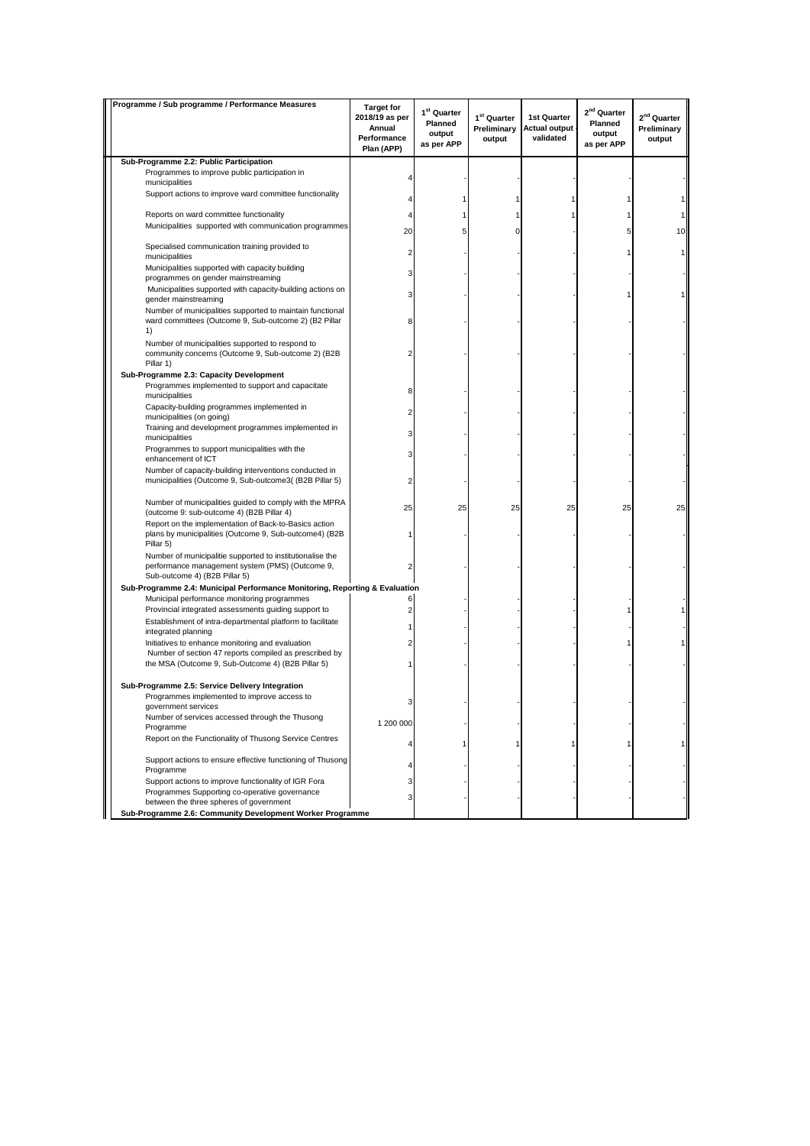| Programme / Sub programme / Performance Measures                                                                                              | <b>Target for</b>                                     |                                                            |                                                  |                                                  |                                                            |                                                  |
|-----------------------------------------------------------------------------------------------------------------------------------------------|-------------------------------------------------------|------------------------------------------------------------|--------------------------------------------------|--------------------------------------------------|------------------------------------------------------------|--------------------------------------------------|
|                                                                                                                                               | 2018/19 as per<br>Annual<br>Performance<br>Plan (APP) | 1 <sup>st</sup> Quarter<br>Planned<br>output<br>as per APP | 1 <sup>st</sup> Quarter<br>Preliminary<br>output | 1st Quarter<br><b>Actual output</b><br>validated | 2 <sup>nd</sup> Quarter<br>Planned<br>output<br>as per APP | 2 <sup>nd</sup> Quarter<br>Preliminary<br>output |
| Sub-Programme 2.2: Public Participation                                                                                                       |                                                       |                                                            |                                                  |                                                  |                                                            |                                                  |
| Programmes to improve public participation in<br>municipalities                                                                               |                                                       |                                                            |                                                  |                                                  |                                                            |                                                  |
| Support actions to improve ward committee functionality                                                                                       | 4                                                     |                                                            | 1                                                |                                                  |                                                            |                                                  |
| Reports on ward committee functionality                                                                                                       |                                                       |                                                            |                                                  |                                                  |                                                            | 1                                                |
| Municipalities supported with communication programmes                                                                                        | 20                                                    |                                                            | U                                                |                                                  | 5                                                          | 10                                               |
| Specialised communication training provided to<br>municipalities                                                                              | 2                                                     |                                                            |                                                  |                                                  |                                                            | 1                                                |
| Municipalities supported with capacity building                                                                                               | 3                                                     |                                                            |                                                  |                                                  |                                                            |                                                  |
| programmes on gender mainstreaming<br>Municipalities supported with capacity-building actions on                                              |                                                       |                                                            |                                                  |                                                  |                                                            |                                                  |
| gender mainstreaming<br>Number of municipalities supported to maintain functional                                                             | 3                                                     |                                                            |                                                  |                                                  |                                                            |                                                  |
| ward committees (Outcome 9, Sub-outcome 2) (B2 Pillar<br>1)                                                                                   | 8                                                     |                                                            |                                                  |                                                  |                                                            |                                                  |
| Number of municipalities supported to respond to<br>community concerns (Outcome 9, Sub-outcome 2) (B2B<br>Pillar 1)                           | 2                                                     |                                                            |                                                  |                                                  |                                                            |                                                  |
| Sub-Programme 2.3: Capacity Development                                                                                                       |                                                       |                                                            |                                                  |                                                  |                                                            |                                                  |
| Programmes implemented to support and capacitate<br>municipalities                                                                            | 8                                                     |                                                            |                                                  |                                                  |                                                            |                                                  |
| Capacity-building programmes implemented in<br>municipalities (on going)                                                                      |                                                       |                                                            |                                                  |                                                  |                                                            |                                                  |
| Training and development programmes implemented in<br>municipalities                                                                          | 3                                                     |                                                            |                                                  |                                                  |                                                            |                                                  |
| Programmes to support municipalities with the<br>enhancement of ICT                                                                           | 3                                                     |                                                            |                                                  |                                                  |                                                            |                                                  |
| Number of capacity-building interventions conducted in<br>municipalities (Outcome 9, Sub-outcome3( (B2B Pillar 5)                             | 2                                                     |                                                            |                                                  |                                                  |                                                            |                                                  |
| Number of municipalities guided to comply with the MPRA<br>(outcome 9: sub-outcome 4) (B2B Pillar 4)                                          | 25                                                    | 25                                                         | 25                                               | 25                                               | 25                                                         | 25                                               |
| Report on the implementation of Back-to-Basics action<br>plans by municipalities (Outcome 9, Sub-outcome4) (B2B<br>Pillar 5)                  |                                                       |                                                            |                                                  |                                                  |                                                            |                                                  |
| Number of municipalitie supported to institutionalise the<br>performance management system (PMS) (Outcome 9,<br>Sub-outcome 4) (B2B Pillar 5) |                                                       |                                                            |                                                  |                                                  |                                                            |                                                  |
| Sub-Programme 2.4: Municipal Performance Monitoring, Reporting & Evaluation                                                                   |                                                       |                                                            |                                                  |                                                  |                                                            |                                                  |
| Municipal performance monitoring programmes<br>Provincial integrated assessments guiding support to                                           | 6<br>2                                                |                                                            |                                                  |                                                  |                                                            |                                                  |
| Establishment of intra-departmental platform to facilitate<br>integrated planning                                                             |                                                       |                                                            |                                                  |                                                  |                                                            |                                                  |
| Initiatives to enhance monitoring and evaluation                                                                                              |                                                       |                                                            |                                                  |                                                  |                                                            |                                                  |
| Number of section 47 reports compiled as prescribed by<br>the MSA (Outcome 9, Sub-Outcome 4) (B2B Pillar 5)                                   |                                                       |                                                            |                                                  |                                                  |                                                            |                                                  |
| Sub-Programme 2.5: Service Delivery Integration                                                                                               |                                                       |                                                            |                                                  |                                                  |                                                            |                                                  |
| Programmes implemented to improve access to<br>government services                                                                            |                                                       |                                                            |                                                  |                                                  |                                                            |                                                  |
| Number of services accessed through the Thusong<br>Programme                                                                                  | 1 200 000                                             |                                                            |                                                  |                                                  |                                                            |                                                  |
| Report on the Functionality of Thusong Service Centres                                                                                        | 4                                                     |                                                            |                                                  |                                                  |                                                            |                                                  |
| Support actions to ensure effective functioning of Thusong<br>Programme                                                                       |                                                       |                                                            |                                                  |                                                  |                                                            |                                                  |
| Support actions to improve functionality of IGR Fora                                                                                          | 3                                                     |                                                            |                                                  |                                                  |                                                            |                                                  |
| Programmes Supporting co-operative governance<br>between the three spheres of government                                                      | 3                                                     |                                                            |                                                  |                                                  |                                                            |                                                  |
| Sub-Programme 2.6: Community Development Worker Programme                                                                                     |                                                       |                                                            |                                                  |                                                  |                                                            |                                                  |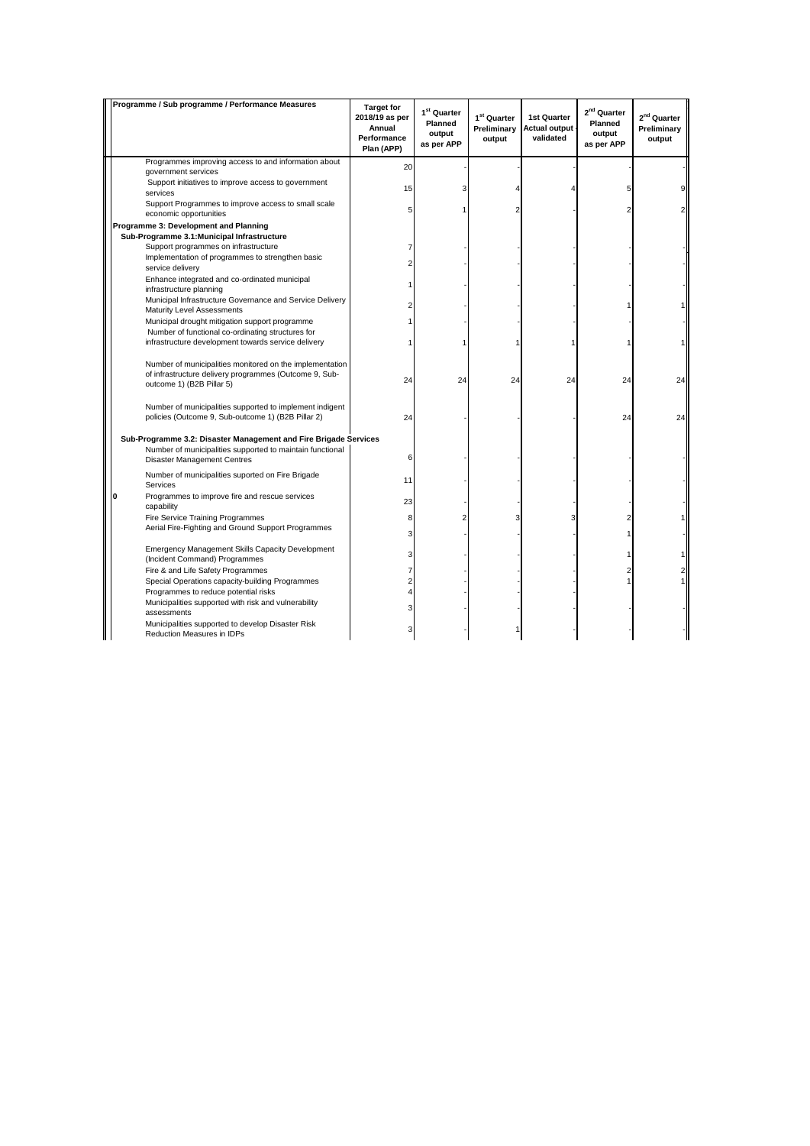| Programme / Sub programme / Performance Measures                                                                                                | <b>Target for</b><br>2018/19 as per<br>Annual<br>Performance<br>Plan (APP) | 1 <sup>st</sup> Quarter<br>Planned<br>output<br>as per APP | 1 <sup>st</sup> Quarter<br>Preliminary<br>output | 1st Quarter<br><b>Actual output</b><br>validated | 2 <sup>nd</sup> Quarter<br>Planned<br>output<br>as per APP | 2 <sup>nd</sup> Quarter<br>Preliminary<br>output |
|-------------------------------------------------------------------------------------------------------------------------------------------------|----------------------------------------------------------------------------|------------------------------------------------------------|--------------------------------------------------|--------------------------------------------------|------------------------------------------------------------|--------------------------------------------------|
| Programmes improving access to and information about                                                                                            | 20                                                                         |                                                            |                                                  |                                                  |                                                            |                                                  |
| government services                                                                                                                             |                                                                            |                                                            |                                                  |                                                  |                                                            |                                                  |
| Support initiatives to improve access to government<br>services                                                                                 | 15                                                                         |                                                            |                                                  |                                                  | 5                                                          | 9                                                |
| Support Programmes to improve access to small scale<br>economic opportunities                                                                   |                                                                            |                                                            |                                                  |                                                  |                                                            | 2                                                |
| Programme 3: Development and Planning                                                                                                           |                                                                            |                                                            |                                                  |                                                  |                                                            |                                                  |
| Sub-Programme 3.1: Municipal Infrastructure                                                                                                     |                                                                            |                                                            |                                                  |                                                  |                                                            |                                                  |
| Support programmes on infrastructure                                                                                                            |                                                                            |                                                            |                                                  |                                                  |                                                            |                                                  |
| Implementation of programmes to strengthen basic<br>service delivery                                                                            |                                                                            |                                                            |                                                  |                                                  |                                                            |                                                  |
| Enhance integrated and co-ordinated municipal<br>infrastructure planning                                                                        |                                                                            |                                                            |                                                  |                                                  |                                                            |                                                  |
| Municipal Infrastructure Governance and Service Delivery<br><b>Maturity Level Assessments</b>                                                   |                                                                            |                                                            |                                                  |                                                  |                                                            |                                                  |
| Municipal drought mitigation support programme                                                                                                  |                                                                            |                                                            |                                                  |                                                  |                                                            |                                                  |
| Number of functional co-ordinating structures for                                                                                               |                                                                            |                                                            |                                                  |                                                  |                                                            |                                                  |
| infrastructure development towards service delivery                                                                                             |                                                                            |                                                            |                                                  |                                                  |                                                            |                                                  |
| Number of municipalities monitored on the implementation<br>of infrastructure delivery programmes (Outcome 9, Sub-<br>outcome 1) (B2B Pillar 5) | 24                                                                         | 24                                                         | 24                                               | 24                                               | 24                                                         | 24                                               |
| Number of municipalities supported to implement indigent<br>policies (Outcome 9, Sub-outcome 1) (B2B Pillar 2)                                  | 24                                                                         |                                                            |                                                  |                                                  | 24                                                         | 24                                               |
| Sub-Programme 3.2: Disaster Management and Fire Brigade Services                                                                                |                                                                            |                                                            |                                                  |                                                  |                                                            |                                                  |
| Number of municipalities supported to maintain functional<br><b>Disaster Management Centres</b>                                                 | 6                                                                          |                                                            |                                                  |                                                  |                                                            |                                                  |
| Number of municipalities suported on Fire Brigade<br>Services                                                                                   | 11                                                                         |                                                            |                                                  |                                                  |                                                            |                                                  |
| Programmes to improve fire and rescue services<br>O<br>capability                                                                               | 23                                                                         |                                                            |                                                  |                                                  |                                                            |                                                  |
| Fire Service Training Programmes                                                                                                                | 8                                                                          |                                                            |                                                  | 3                                                |                                                            |                                                  |
| Aerial Fire-Fighting and Ground Support Programmes                                                                                              | 3                                                                          |                                                            |                                                  |                                                  |                                                            |                                                  |
| <b>Emergency Management Skills Capacity Development</b>                                                                                         | 3                                                                          |                                                            |                                                  |                                                  |                                                            | 1                                                |
| (Incident Command) Programmes                                                                                                                   |                                                                            |                                                            |                                                  |                                                  |                                                            |                                                  |
| Fire & and Life Safety Programmes                                                                                                               |                                                                            |                                                            |                                                  |                                                  |                                                            | 2<br>1                                           |
| Special Operations capacity-building Programmes<br>Programmes to reduce potential risks                                                         |                                                                            |                                                            |                                                  |                                                  |                                                            |                                                  |
| Municipalities supported with risk and vulnerability                                                                                            |                                                                            |                                                            |                                                  |                                                  |                                                            |                                                  |
| assessments                                                                                                                                     |                                                                            |                                                            |                                                  |                                                  |                                                            |                                                  |
| Municipalities supported to develop Disaster Risk<br>Reduction Measures in IDPs                                                                 |                                                                            |                                                            |                                                  |                                                  |                                                            |                                                  |